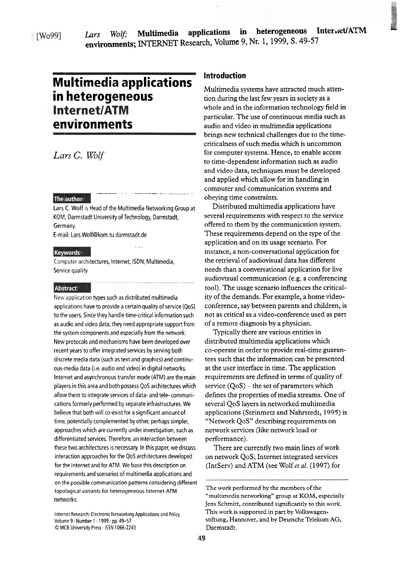# **Multimedia applications**<br> **in heterogeneous** Multimedia systems have attracted much atten-<br> **in heterogeneous** tion during the last few years in society as a Internet/ATM **environments** audio and video in multimedia applications

#### **The author**

KOM, Darmstadt University of Technology, Darmstadt, several requirements with respect to the service Germany. **Germany. offered to them by the communication system.** 

#### **Keywords**

#### Abstract

applications have to provide a certain quality of service (QoS) conference, say between parents and children, is to the users. Since they handle time-critical information such not as critical as a video-conference used as part as audio and video data, they need appropriate support from of a remote diagnosis by a physician. the system components and especially from the network. Typically there are various entities in New protocols and mechanisms have been developed over distributed multimedia applications which recent years to offer integrated services by serving both co-operate in order to provide real-time guarandiscrete media data (such as text and graphics) and continu- tees such that the information can be presented ous-media data (i.e. audio and video) in digital networks. at the user interface in time. The application lnternet and asynchronous transfer mode (ATM) are the main requirements are defined in terms of quality of players in this area and both possess QoS architectures which service  $(QoS)$  - the set of parameters which allow them to integrate services of data- and tele- communi-<br>defines the properties of media streams. One of cations formerly performed by separate infrastructures. We several QoS layers in networked multimedia believe that both will co-exist for a significant amount of applications (Steinmetz and Nahrstedt, 1995) is time, potentially complemented by other, perhaps simpler, "Network QoS" describing requirements on approaches which are currently under investigation, such as network services (like network load or differentiated services. Therefore, an interaction between performance). these two architectures is necessary. In this paper, we discuss There are currently two main lines of work interaction approaches for the QoS architectures developed on network QoS; Internet integrated services for the Internet and for ATM. We base this description on (IntServ) and ATM (see Wolf *et al.* (1 997) for requirements and scenarios of multimedia applications and on the possible communication patterns considering different to the persons communicated persons constanting anticlay.<br>The work performed by the members of the topological variants for heterogeneous Internet-ATM

whole and in the information technology field in particular. The use of continuous media such as brings new technical challenges due to the timecriticalness of such media which is uncommon *Lars C. Wolf* **for computer systems. Hence, to enable access** to time-dependent information such as audio and video data, techniques must be developed and applied which allow for its handling in to the dependent information such as additional and video data, techniques must be developed and applied which allow for its handling in computer and communication systems and obeying time constraints. obeying time constraints.

**i&** 

Lars C. Wolf is Head of the Multimedia Networking Group at Distributed multimedia applications have E-mail: Lars.WolfQkom.tu.darmstadt.de These requirements depend on the type of the . .. application and on its usage scenario. For instance, a non-conversational application for Computer architectures, Internet, ISDN, Multimedia, the retrieval of audiovisual data has different Service quality **needs** than a conversational application for live audiovisual communication (e.g. a conferencing tool). The usage scenario influences the critical-New application types such as distributed multimedia ity of the demands. For example, a home video-

<sup>0</sup> MCB University Press. lSSN 1066-2243 Darrnstadt.

<sup>&</sup>quot;multimedia nenvorking" group at KOM, especially networks. Jens Schmitt, contributed significantly to this work. lnternet Research: Electronic Networking Applications and Policy This workis supported in part by Volkswagen-Volume 9 · Number 1 · 1999 · pp. 49-57 stiftung, Hannover, and by Deutsche Telekom AG,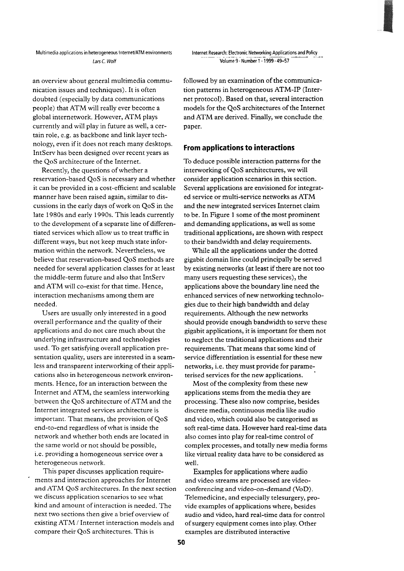Internet Research: Electronic Networking Applications and Policy Volume 9. Number 1 **.1999.49-57** 

an overview about general multimedia communication issues and techniques). It is often doubted (especially by data communications people) that ATM will really ever become a global internetwork. However, ATM plays currently and will play in future as well, a certain role, e.g. as backbone and link layer technology, even if it does not reach many desktops. IntServ has been designed over recent years as the QoS architecture of the Internet.

Recently, the questions of whether a reservation-based QoS is necessary and whether it can be provided in a cost-efficient and scalable manner have been raised again, similar to discussions in the early days of work on QoS in the late 1980s and early 1990s. This leads currently to the development of a separate line of differentiated services which allow us to treat traffic in different ways, but not keep much state information within the network. Nevertheless, we believe that reservation-based QoS methods are needed for several application classes for at least the middle-term future and also that IntServ and ATM will co-exist for that time. Hence, interaction mechanisms among them are needed.

Users are usually only interested in a good overall performance and the quality of their applications and do not care much about the underlying infrastructure and technologies used. To get satisfying overall application presentation quality, users are interested in a seamless and transparent interworking of their applications also in heterogeneous network environments. Hence, for an interaction between the Internet and ATM, the seamless intenvorking . between the QoS architecture of ATM and the Internet integrated services architecture is important. That means, the provision of QoS end-to-end regardless of what is inside the network and whether both ends are located in the Same world or not should be possible, i.e. providing a homogeneous service over a heterogeneous network.

This paper discusses application require- ' ments and interaction approaches for Internet and ATM *QoS* architectures. In the nexr secrion we discuss application scenarios to see what kind and amount of interaction is needed. The next two sections then give a brief overview of existing ATM / Internet interaction models and compare their QoS architectures. This is

followed by an examination of the communication patterns in heterogeneous ATM-IP (Internet protocol). Based on that, several interaction models for the QoS architectures of the Internet and ATM are derived. Finally, we conclude the. paper.

#### **From applications to interactions**

To deduce possible interaction patterns for the interworking of QoS architectures, we will consider application scenarios in this section. Several applications are envisioned for integrated service or multi-service networks as ATM and the new integrated services Internet claim to be. In Figure 1 some of the most prominent and demanding applications, as well as some traditional applications, are shown with respect to their bandwidth and delay requirements.

While all the applications under the dotted gigabit domain line could principally be served by existing networks (at least if there are not too many users requesting these services), the applications above the boundary line need the enhanced services of new networking technologies due to their high bandwidth and delay requirements. Although the new networks should provide enough bandwidth to serve these gigabit applications, it is important for them not to neglect the traditional applications and their requirements. That means that some kind of service differentiation is essential for these new networks, i.e. they must provide for parameterised services for the new applications. '

Most of the complexity from these new applications stems from the media they are processing. These also now comprise, besides discrete media, continuous media like audio and video, which could also be categorised as soft real-time data. However hard real-time data also comes into play for real-time control of complex processes, and totally new media forms like virtual reality data have to be considered as well.

Examples for applications where audio and video streams are processed are videoconferencing and video-on-demand (VoD). Telemedicine, and especially telesurgery, provide examples of applications where, besides audio and video, hard real-time data for control of surgery equipment comes into play. Other examples are distributed interactive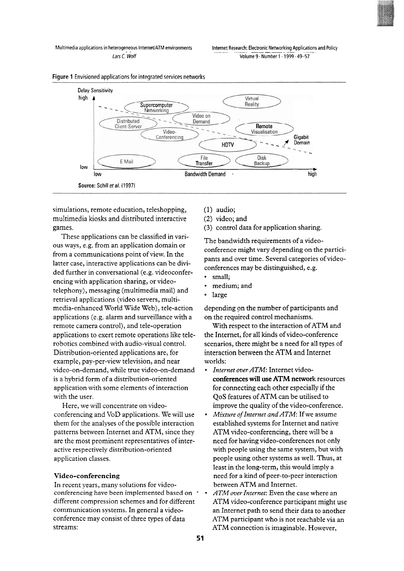

Figure **1** Envisioned applications for integrated sewices networks

simulations, remote education, teleshopping, (1) audio; multimedia kiosks and distributed interactive (2) video; and games. **(3)** control data for application sharing.

These applications can be classified in various ways, e.g. from an application domain or from a communications point of view. In the latter case, interactive applications can be divided further in conversational (e.g. videoconferencing with application sharing, or videotelephony), messaging (multimedia mail) and retrieval applications (video servers, multimedia-enhanced World Wide Web), tele-action depending pn the number of participants and applications  $(e.g.$  alarm and surveillance with a on the required control mechanisms. remote camera control), and tele-operation With respect to the interaction of ATM and applications to exert remote operations like tele- the Internet, for all kinds of video-conference robotics combined with audio-visual control. scenarios, there might be a need for all types of Distribution-oriented applications are, for interaction between the ATM and Internet example, pay-per-view television, and near worlds:<br>video-on-demand, while true video-on-demand · *Internet over ATM*: Internet videovideo-on-demand, while true video-on-demand is a hybrid form of a distribution-oriented conferences will use ATM network resources application with some elements of interaction for connecting each other especially if the with the user.  $QoS$  features of ATM can be utilised to

conferencing and VoD applications. We will use  $\cdot$  Mixture of Internet and ATM: If we assume them for the analyses of the possible interaction established systems for Internet and native patterns between Internet and  $ATM$ , since they  $ATM$  video-conferencing, there will be a are the most prominent representatives of inter- need for having video-conferences not only active respectively distribution-oriented with people using the same system, but with application classes. people using other Systems as well. Thus, at

In recent years, many solutions for video- between ATM and Internet. conferencing have been implemented based on  $\cdot$   $\cdot$  ATM over Internet: Even the case where an different compression schemes and for different ATM video-conference participant might use communication systems. In general a video-<br>
conference may consist of three types of data<br>
ATM participant who is not reachable via an

- 
- 
- 

The bandwidth requirements of a videoconference might vary depending on the participants and over time. Several categories of videoconferences may be distinguished, e.g.

- small;
- medium; and
- $\bullet$ large

- Here, we will concentrate on video- improve the quality of the video-conference.
- least in the long-term, this would imply a **Video-conferencing** need for a kind of peer-to-peer interaction
- ATM participant who is not reachable via an streams: ATM connection is imaginable. However,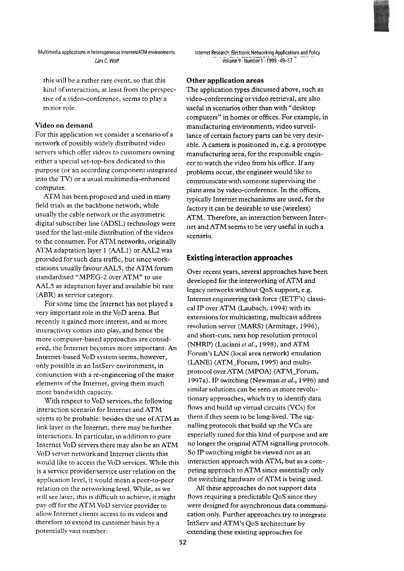Multimedia applications in heterogeneous InterneUATM environrnents lnternet Research: Electronic Nehrvorking Applications and Policy ~ .. . - -- ~ ~. -~ - - - -~

Volume 9 - Number 1 - 1999 - 49-57

this will be a rather rare event, so that this kind of interaction, at least from the perspective of a video-conference, seems to play a minor role.

#### Video on demand

For this application we consider a scenario of a network of possibly widely distributed video servers which offer videos to customers owning either a special set-top-box dedicated to this purpose (or an according component integrated into the TV) or a usual multimedia-enhanced Computer.

ATM has been proposed and used in many field trials as the backbone network, while usually the cable network or the asymmetric digital subscriber line (ADSL) technology were used for the last-mile distribution of the videos to the consurner. For ATM networks, originally ATM adaptation layer 1 (AAL1) or AAL2 was provided for such data traffic, but since workstations usually favour AALS, the ATM forum standardised "MPEG-2 over ATM" to use AAL5 as adaptation layer and available bit rate (ABR) as service category.

For some time the Internet has not played a very important role in the VoD arena. But recently it gained more interest, and as more interactivity comes into play, and hence the more computer-based approaches are considered, the Internet becomes more important. An Interner-based VoD system seems, however, only possible in an IntServ environment, in conjunction with **a** re-engineering of the major elements of the Internet, giving them much more bandwidth capacity.

With respect to VoD services, the following interaction scenario for Internet and ATM seems to be probable: besides the use of ATM as link layer in the Internet, there may be further interactions. In particular, in addition to pure Internet VoD servers there may also be an ATM VoD server network and Internet clients that would like to access the VoD services. While this is a service provider/service user relation on the application level, it would mean a peer-to-peer relation on the networking level. While, as we will see later, this is difficult to achieve, it might pay off for the ATM VoD service provider to allow Internet clients access to its videos and therefore to extend its customer basis by a potentially vast number.

#### Other application areas

The application types discussed above, such as video-conferencing or video retrieval, are also useful in scenarios other than with "desktop computers" in homes or offices. For example, in manufacturing environments, video surveillance of certain factory parts can be very desirable. A camera is positioned in, e.g. a prototype manufacturing area, for the responsible engineer to watch the video from his office. If any problems occur, the engineer would like to communicate with sorneone supervising the plant area by video-conference. In the offices, typically Internet mechanisms are used, for the factory it can be desirable to use (wireless) ATM. Therefore, an interaction between Internet and ATM seems to be very useful in such a scenario.

### **Existing interaction approaches**

Over recent years, several approaches have been developed for the interworking of ATM and legacy networks without QoS support, e.g. Internet engineering task force (IETF's) classical IP over ATM (Laubach, 1994) with its extensions for multicasting, multicast address resolution server (MARS) (Armitage, 1996), and short-cuts, next hop resolution protocol (NHRP) (Luciani *et* al., 1998), and ATM Forum's LAN (local area network) emulation (LANE) (ATM\_Forum, 1995) and multiprotocol over ATM (MPOA) (ATM-Forum, 1997a). IP switching (Newman *et* al., 1996) and similar solutions can be seen as more revolutionary approaches, which try to identifi data flows and build up virtual circuits (VCs) for them if they seem to be long-lived. The signalling protocols that build up the VCs are especially tuned for this kind of purpose and are no longer the original ATM signalling protocols. So IP switching might be viewed not as an interaction approach with ATM, but as a competing approach to ATM since essentially only the switching hardware of ATM is being used.

All these approaches do not support data flows requiring a predictable QoS since they were designed for asynchronous data communication only. Further approaches try to integrate IntServ and ATM's QoS architecture by extending these existing approaches for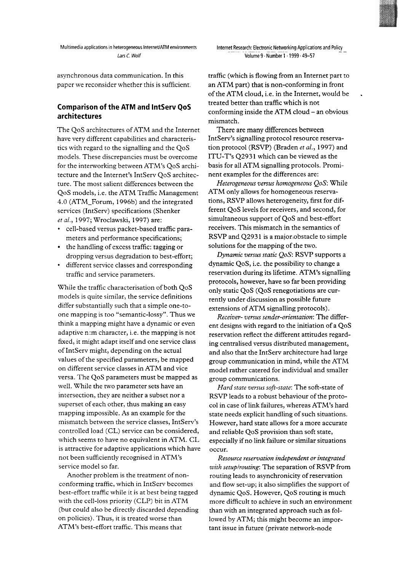asynchronous data communication. In this paper we reconsider whether this is sufficient.

### **Comparison of the ATM and IntServ QoS architectures**

The QoS architectures of ATM and the Internet have very different capabilities and characteristics with regard to the signalling and the QoS models. These discrepancies must be overcome for the intenvorking between ATM's QoS architecture and the Internet's IntServ QoS architecture. The most salient differences between the QoS models, i.e. the ATM Traffic Management 4.0 (ATM-Forum, 1996b) and the integrated services (IntServ) specifications (Shenker et al., 1997; Wroclawski, 1997) are:

- cell-based versus packet-based traffic parameters and performance specifications;
- the handling of excess traffic: tagging or dropping versus degradation to best-effort;
- different service classes and corresponding traffic and service parameters.

While the traffic characterisation of both QoS models is quite similar, the service definitions differ substantially such that a simple one-toone mapping is too "semantic-lossy". Thus we think a mapping might have a dynamic or even adaptive n:m character, i.e. the mapping is not fixed, it might adapt itself and one service class of IntServ might, depending on the actual values of the specified parameters, be mapped on different service classes in ATM and vice versa. The QoS parameters must be mapped as well. While the two parameter sets have an intersection, they are neither a subset nor a superset of each other, thus making an easy mapping impossible. As an example for the mismatch between the service classes, IntServ's controlled load (CL) service can be considered, which seems to have no equivalent in ATM. CL is attractive for adaptive applications which have not been sufficiently recognised in ATM's service model so far.

Another problem is the treatment of nonconforming traffic, which in IntServ becomes best-effort traffic while it is at best being tagged with the cell-loss priority (CLP) bit in ATM (but could also be directly discarded depending on policies). Thus, it is treated worse than ATM's best-effort traffic. This means that

traffic (which is flowing from an Internet part to an ATM part) that is non-conforming in front of the ATM cloud, i.e. in the Internet, would be . treated better than traffic which is not conforming inside the  $ATM$  cloud – an obvious mismatch.

There are many differences between IntServ's signalling protocol resource reservation protocol (RSVP) (Braden et al., 1997) and ITU-T's  $Q2931$  which can be viewed as the basis for all ATM signalling protocols. Prominent examples for the differences are:

Heterogeneous versus homogeneous QoS: While ATM only allows for homogeneous reservations, RSVP allows heterogeneity, first for different QoS levels for receivers, and second, for simultaneous support of QoS and best-effort receivers. This mismatch in the semantics of RSVP and Q2931 is a major, obstacle to simple solutions for the mapping of the two.

Dynamic versus static QoS: RSVP Supports a dynamic QoS, i.e. the possibility to Change a reservation during its lifetime. ATM's signalling protocols, however, have so far been providing only static QoS (QoS renegotiations are currently under discussion as possible future extensions of ATM signalling protocols) .

Receiver- versus sender-orientation: The different designs with regard to the initiation of a QoS reservation reflect the different attitudes regarding centralised versus distributed management, and also that the IntServ architecture had large group communication in mind, while the ATM model rather catered for individual and smaller group communications.

Hard state versus soft-state: The soft-state of RSVP leads to a robust behaviour of the protocol in case of link failures, whereas ATM's hard state needs explicit handling of such situations. However, hard state allows for a more accurate and reliable QoS provision than soft state, especially if no link failure or similar situations occur.

Resource reservation independent or integrated with setup/routing: The separation of RSVP from routing leads to asynchronicity of reservation and flow set-up; it also simplifies the support of dynamic QoS. However, QoS routing is much more difficult to achieve in such an environment than with an integrated approach such as followed by ATM; this might become an important issue in future (private network-node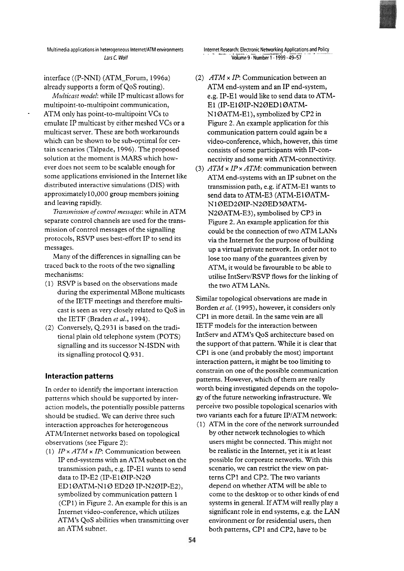multipoint-to-multipoint communication, E1 (IP-E1ØIP-N2ØED1ØATM-ATM only has point-to-multipoint VCs to N10ATM-E1), symbolized by CP2 in emulate IP multicast by either meshed VCs or a Figure 2. An example application for this multicast server. These are both workarounds communication pattern could again be a which can be shown to be sub-optimal for cer- video-conference, which, however, this time tain scenarios (Talpade, 1996). The proposed solution at the moment is MARS which however does not seem to be scalable enough for some applications envisioned in the Internet like distributed interactive simulations (DIS) with approximately 10,000 group members joining and leaving rapidly.

Transmission of control messages: while in ATM separate control channels are used for the transmission of control messages of the signalling protocols, RSVP uses best-effort IP to send its messages.

Many of the differences in signalling can be traced back to the roots of the two signalling mechanisms:

- (1) RSVP is based on the observations made during the experimental MBone multicasts of the IETF meetings and therefore multi-Cast is seen as very closely related to QoS in the IETF (Braden et al., 1994).
- (2) Conversely, Q.293 1 is based on the traditional plain old telephone system (POTS) signalling and its successor N-ISDN with its signalling protocol Q.93 1.

### **lnteraction patterns**

In order to identify the important interaction patterns which should be supported by interaction models, the potentially possible patterns should be studied. IVe can derive three such interaction approaches for heterogeneous ATMJInternet networks based on topological observations (see Figure 2):

(1)  $IP \times ATM \times IP$ : Communication between IP end-systems with an ATM subnet on the transmission path, e.g. IP-E1 wants to send scenario, we can restrict the view on patdata to IP-E2 (IP-E1ØIP-N2Ø terns CP1 and CP2. The two variants ED10ATM-N10 ED20 IP-N20IP-E2), depend on whether ATM will be able to an ATM subnet. both patterns, CPI and CP2, have to be

- interface ((P-NNI) (ATM-Forum, 1996a) (2) *ATM* **X** *IP:* Communication between an already Supports a form of QoS routing). ATM end-system and an IP end-system, *Multicast model:* while IP multicast allows for  $e.g.$  IP-E1 would like to send data to ATMconsists of some participants with IP-connectivity and some with ATM-connectivity.
	- (3)  $ATM \times IP \times ATM$ : communication between ATM end-systems with an IP subnet on the transmission path, e.g. if ATM-E1 wants to send data to ATM-E3 (ATM-E1ØATM-N10ED20IP-N20ED30ATM-N20ATM-E3), symbolised by CP3 in Figure 2. An example application for this could be the connection of two ATM LANs via the Internet for the purpose of building up a virtual private network. In order not to lose too many of the guarantees given by ATM, it would be favourable to be able to utilise IntServ/RSVP flows for the linking of the wo ATM LANs.

Similar topological observations are made in Borden et al. (1995), however, it considers only CP1 in more detail. In the same vein are all IETF models for the interaction between IntServ and ATM's QoS architecture based on the Support of that pattern. While it is clear that CP1 is one (and probably the most) important interaction pattern, it might be too limiting to constrain on one of the possible communication patterns. However, which of them are really worth being investigated depends on the topolo**gy** of the future networking infrastructure. We perceive two possible topological scenarios with two variants each for a future IP/ATM network:

(1) ATM in the core of the network surrounded by other network technologies to which users might be connected. This might not be realistic in the Internet, yet it is at least possible for corporate networks. With this symbolized by communication pattern 1 come to the desktop or to other kinds of end  $(CPI)$  in Figure 2. An example for this is an systems in general. If ATM will really play a Internet video-conference, which utilizes significant role in end systems, e.g. the LAN ATM's QoS abilities when transmitting over environment or for residential users, then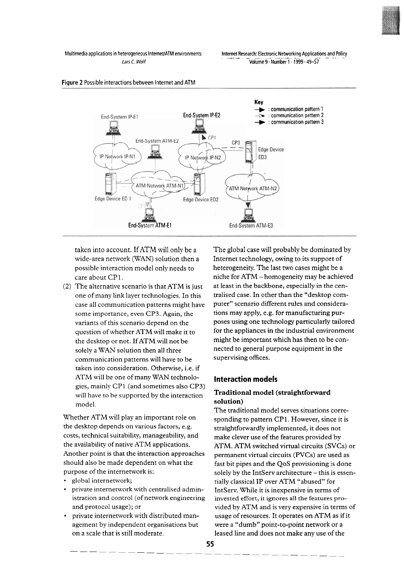

#### **Fiqure** 2 Possible interactions between lnternet and ATM

possible interaction model only needs to care about CP1.

(2) The alternative scenario is that ATM is just one of many link layer technologies. In this case all communication patterns might have sorne importance, even CP3. Again, the variants of this scenario depend on the question of whether ATM will make it to the desktop or not. IfATM will not be solely a WAN solution then all three communication patterns will have to be taken into consideration. Othenvise, i.e. if ATM will be one of many **WAN** technologies, mainly CP I (and sometimes also CP3) will have to be supported by the interaction model.

Whether ATM will play an important role on the desktop depends on various factors, e.g. costs, technical suitability, manageability, and the availability of native ATM applications. Another point is that the interaction approaches should also be made dependent on what the purpose of the internetwork is:

- global internetwork;
- private internetwork with centralised administration and control (of network engineering and protocol usage); or
- private internenvork with distributed manon a scale that is still moderate.<br>55

 $---$ 

taken into account. If ATM will only be a The global case will probably be dominated by wide-area network (WAN) solution then a Internet technology, owing to its support of heterogeneity. The last two cases might be a niche for ATM - homogeneity may be achieved at least in the backbone, especially in the centralised case. In other than the "desktop computer" scenario different rules and considerations may apply, e.g. for manufacturing purposes using one technology particularly tailored for the appliances in the industrial environment might be important which has then to be connected to general purpose equipment in the supervising offices.

### **lnteraction models**

### **Traditional model (straightforward solution)**

The traditional model serves situations corresponding to pattern CPI. However, since it is straightfonvardly implemented, it does not make clever use of the features provided by ATM. ATM switched virtual circuits (SVCs) or permanent virtual circuits (PVCs) are used as fast bit pipes and the QoS provisioning is done solely by the IntServ architecture - this is essentially classical IP over ATM "abused" for IntServ. While it is inexpensive in terms of invested effort, it ignores **all** the features **pro**vided by ATM and is very expensive in terms of usage of resources. It operates on ATM as if it agernent by independent organisations but were a "dumb" point-to-point network or a on a scale [hat is still moderate. leased line and does not make any use of the ----- -----P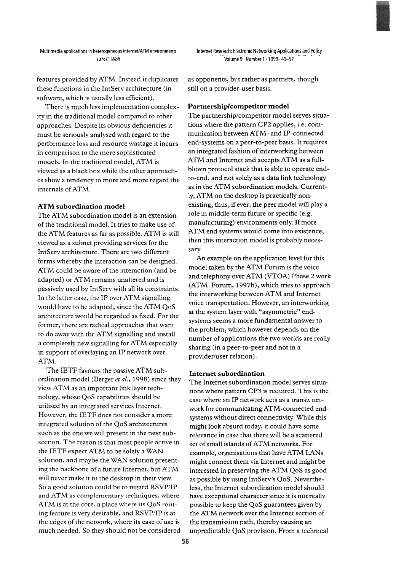features provided by ATM. Instead it duplicates these functions in the IntServ architecture (in software, which is usually less efficient).

There is much less implementation complexity in the traditional model compared to other approaches. Despite its obvious deficiencies it must be seriously analysed with regard to the performance loss and resource wastage it incurs in comparison to the more sophisticated models. In the traditional model, ATM is viewed as a black box while the other approaches show a tendency to more and more regard the internals of ATM.

#### **ATM subordination model**

The ATM subordination model is an extension of the traditional model. It tries to make use of the ATM features as far as possible. ATM is still viewed as a subnet providing services for the IntServ architecture. There are two different forms whereby the interaction can be designed. ATM could be aware of the interaction (and be adapted) or ATM remains unaltered and is passively used by IntServ with all its constraints. In the latter case, the IP over ATM signalling would have to be adapted, since the ATM QoS architecture would be regarded as fixed. For the former, there are radical approaches that Want to do away with the ATM signalling and install a completely new signalling for ATM especially in Support of overlaying an IP network over ATM.

The IETF favours the passive ATM subordination model (Berger *et al.,* 1998) since they view ATM as an important link layer technology, whose QoS capabilities should be utilised by an integrated services Internet. However, the IETF does not consider a more integrated solution of the QoS architectures such as the one we will present in the next subsection. The reason is that most people active in the IETF expect ATM to be solely a WAN solution, and maybe the WAN solution presenting the backbone of a future Internet, but ATM will never make it to the desktop in their view. So a good solution could be to regard RSVP/IP and ATM as complementary techniques, where ATM is at the core, a place where its QoS routing feature is very desirable, and RSVPIIP is at the edges of the network, where its ease of use is the transmission path, thereby causing an much needed. So they should not be considered unpredictable QoS provision. From a technical

as opponents, but rather as partners, though still on a provider-user basis.

#### **Partnershiplcompetitor model**

The partnership/competitor model serves situations where the pattern CP2 applies, i.e. communication between ATM- and IP-connected end-systems on a peer-to-peer basis. It requires an integrated fashion of interworking between ATM and Internet and accepts ATM as a fullblown protocol stack that is able to operate endto-end, and not solely as a data link technology as in the ATM subordination models. Currently, ATM on the desktop is practically nonexisting, thus, if ever, the peer model will play a role in middle-term future or specific (e.g. manufacturing) environments only. If more ATM end systems would come into existence, then this interaction model is probably necessary.

An example on the application level for this model taken by the ATM Forum is the voice and telephony over ATM (VTOA) Phase 2 work (ATM-Forum, 1997b), which tries to approach the interworking between ATM and Internet voice transportation. However, an intenvorking at the system layer with "asymmetric" endsystems seems a more fundamental answer to the problem, which however depends on the number of applications the two worlds are really sharing (in a peer-to-peer and not in a provider/user relation).

#### **Internet subordination**

The Internet subordination model serves situations where pattern CP3 is required. This is the case where an IP network acts as a transit network for communicating ATM-connected endsystems without direct connectivity. While this might look absurd today, it could have some relevance in case that there will be a scattered set of small islands of ATM networks. For example, organisations that have ATM LANs might connect them via Internet and might be interested in preserving the ATM QoS as good as possible by using IntServ's QoS. Nevertheless, the Internet subordination model should have exceptional character since it is not really possible to keep the QoS guarantees given by the ATM network over the Internet section of